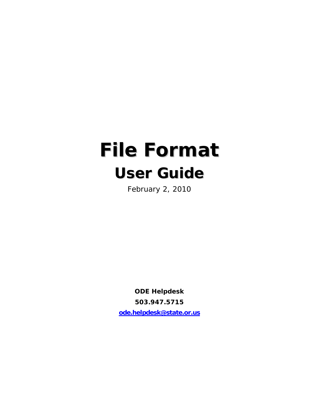# **File Format User Guide**

February 2, 2010

**ODE Helpdesk 503.947.5715 ode.helpdesk@state.or.us**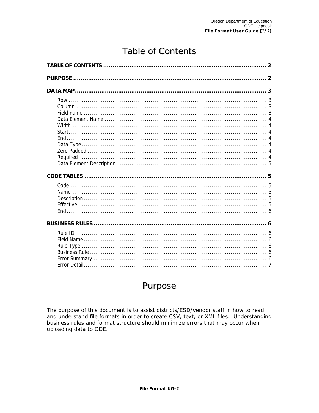# **Table of Contents**

## Purpose

The purpose of this document is to assist districts/ESD/vendor staff in how to read and understand file formats in order to create CSV, text, or XML files. Understanding business rules and format structure should minimize errors that may occur when uploading data to ODE.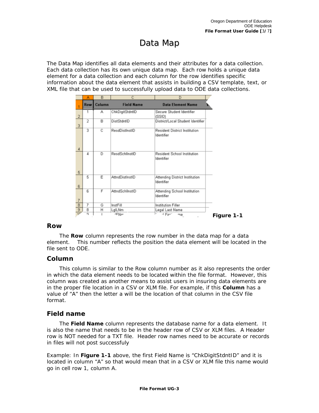# Data Map

The Data Map identifies all data elements and their attributes for a data collection. Each data collection has its own unique data map. Each row holds a unique data element for a data collection and each column for the row identifies specific information about the data element that assists in building a CSV template, text, or XML file that can be used to successfully upload data to ODE data collections.

|                 | А              | B      | с                 | D                                            |            |
|-----------------|----------------|--------|-------------------|----------------------------------------------|------------|
|                 | <b>Row</b>     | Column | <b>Field Name</b> | <b>Data Element Name</b>                     |            |
| $\overline{a}$  |                | А      | ChkDigitStdntID   | Secure Student Identifier<br>(SSID)          |            |
| 3               | $\overline{2}$ | B      | DistStdntID       | District/Local Student Identifier            |            |
| $\overline{4}$  | 3              | C      | ResdDistInstID    | Resident District Institution<br>Identifier  |            |
| 5               | 4              | D      | ResdSchlinstID    | Resident School Institution<br>Identifier    |            |
| 6               | 5              | Ε      | AttndDistInstID   | Attending District Institution<br>Identifier |            |
| $\overline{7}$  | 6              | F      | AttndSchlInstID   | Attending School Institution<br>Identifier   |            |
| $\overline{8}$  | 7              | G      | InstFill          | Institution Filler                           |            |
| 9               | 8              | н      | LgILNm            | Legal Last Name                              |            |
| $\overline{16}$ | n              |        | -IFNm             | *LEire"<br>me                                | Figure 1-1 |

### **Row**

 element. This number reflects the position the data element will be located in the file sent to ODE. The **Row** column represents the row number in the data map for a data

### **Column**

 in which the data element needs to be located within the file format. However, this This column is similar to the Row column number as it also represents the order column was created as another means to assist users in insuring data elements are in the proper file location in a CSV or XLM file. For example, if this **Column** has a value of "A" then the letter a will be the location of that column in the CSV file format.

### **Field name**

The **Field Name** column represents the database name for a data element. It is also the name that needs to be in the header row of CSV or XLM files. A Header row is NOT needed for a TXT file. Header row names need to be accurate or records in files will not post successfuly

Example: In **Figure 1-1** above, the first Field Name is "ChkDigitStdntID" and it is located in column "A" so that would mean that in a CSV or XLM file this name would go in cell row 1, column A.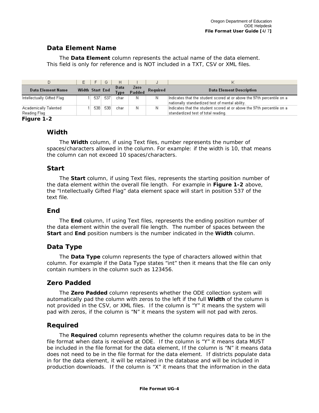### **Data Element Name**

 This field is only for reference and is NOT included in a TXT, CSV or XML files. The **Data Element** column represents the actual name of the data element.

|                                       | F.              | F.  | G   | H                   |                |          |                                                                                                                           |
|---------------------------------------|-----------------|-----|-----|---------------------|----------------|----------|---------------------------------------------------------------------------------------------------------------------------|
| Data Element Name                     | Width Start End |     |     | Data<br><b>Type</b> | Zero<br>Padded | Required | <b>Data Element Description</b>                                                                                           |
| Intellectually Gifted Flag            |                 | 537 | 537 | char                | Ν              | Ν        | Indicates that the student scored at or above the 97th percentile on a<br>nationally standardized test of mental ability. |
| Academically Talented<br>Reading Flag |                 | 538 | 538 | char                | Ν              | Ν        | Indicates that the student scored at or above the 97th percentile on a<br>standardized test of total reading.             |

#### **Figure 1-2**

### **Width**

 The **Width** column, if using Text files, number represents the number of spaces/characters allowed in the column. For example: if the width is 10, that means the column can not exceed 10 spaces/characters.

### **Start**

 the data element within the overall file length. For example in **Figure 1-2** above, text file. The **Start** column, if using Text files, represents the starting position number of the "Intellectually Gifted Flag" data element space will start in position 537 of the

### **End**

 the data element within the overall file length. The number of spaces between the The **End** column, If using Text files, represents the ending position number of **Start** and **End** position numbers is the number indicated in the **Width** column.

### **Data Type**

 column. For example if the Data Type states "int" then it means that the file can only The **Data Type** column represents the type of characters allowed within that contain numbers in the column such as 123456.

### **Zero Padded**

 pad with zeros, if the column is "N" it means the system will not pad with zeros. The **Zero Padded** column represents whether the ODE collection system will automatically pad the column with zeros to the left if the full **Width** of the column is not provided in the CSV, or XML files. If the column is "Y" it means the system will

### **Required**

The **Required** column represents whether the column requires data to be in the file format when data is received at ODE. If the column is "Y" it means data MUST be included in the file format for the data element, If the column is "N" it means data does not need to be in the file format for the data element. If districts populate data in for the data element, it will be retained in the database and will be included in production downloads. If the column is "X" it means that the information in the data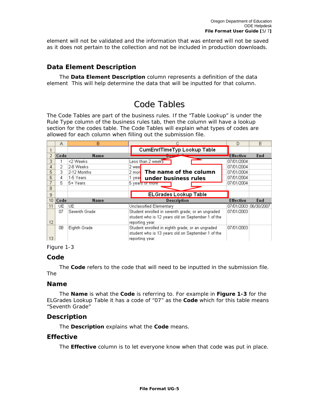element will not be validated and the information that was entered will not be saved as it does not pertain to the collection and not be included in production downloads.

### **Data Element Description**

The **Data Element Description** column represents a definition of the data element This will help determine the data that will be inputted for that column.

### CodeTables

 allowed for each column when filling out the submission file. The Code Tables are part of the business rules. If the "Table Lookup" is under the Rule Type column of the business rules tab, then the column will have a lookup section for the codes table. The Code Tables will explain what types of codes are

|                 | А    | в             |                                                   | D                | F                     |
|-----------------|------|---------------|---------------------------------------------------|------------------|-----------------------|
|                 |      |               | CumEnrITimeTyp Lookup Table                       |                  |                       |
| 2               | Code | <b>Name</b>   |                                                   | <b>Effective</b> | End                   |
| 3               |      | <2 Weeks      | Less than 2 weeks                                 | 07/01/2004       |                       |
| 4               | 2    | 2-8 Weeks     | 2 wee                                             | 07/01/2004       |                       |
| 5               | 3.   | 2-12 Months   | The name of the column<br>2 mon                   | 07/01/2004       |                       |
| 6               | 4    | 1-5 Years     | 1 үеа⊫<br>under business rules                    | 07/01/2004       |                       |
|                 | 5.   | 5+ Years      | 5 years or more                                   | 07/01/2004       |                       |
| 8               |      |               |                                                   |                  |                       |
| 9               |      |               | <b>ELGrades Lookup Table</b>                      |                  |                       |
| 10 <sup>°</sup> | Code | <b>Name</b>   | <b>Description</b>                                | <b>Effective</b> | End                   |
| 11              | UE.  | UE            | Unclassified Elementary                           |                  | 07/01/2003 06/30/2007 |
|                 | 07   | Seventh Grade | Student enrolled in seventh grade; or an ungraded | 07/01/2003       |                       |
|                 |      |               |                                                   |                  |                       |
| 12              |      |               | reporting year.                                   |                  |                       |
|                 | 08   | Eighth Grade  | Student enrolled in eighth grade; or an ungraded  | 07/01/2003       |                       |
|                 |      |               | student who is 13 years old on September 1 of the |                  |                       |
| 13 <sup>°</sup> |      |               | reporting year.                                   |                  |                       |

### Figure 1-3

### **Code**

The **Code** refers to the code that will need to be inputted in the submission file. The

### **Name**

The **Name** is what the **Code** is referring to. For example in **Figure 1-3** for the ELGrades Lookup Table it has a code of "07" as the **Code** which for this table means "Seventh Grade"

### **Description**

The **Description** explains what the **Code** means.

### **Effective**

The **Effective** column is to let everyone know when that code was put in place.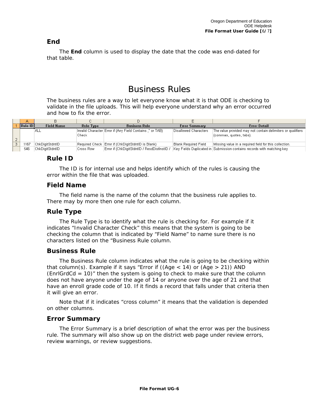### **End**

The **End** column is used to display the date that the code was end-dated for that table.

### **Business Rules**

 and how to fix the error. The business rules are a way to let everyone know what it is that ODE is checking to validate in the file uploads. This will help everyone understand why an error occurred

| Rule ID | <b>Field Name</b> | <b>Rule Type</b> | <b>Business Rule</b>                                       | <b>Error Summary</b>  | <b>Error Detail</b>                                                    |
|---------|-------------------|------------------|------------------------------------------------------------|-----------------------|------------------------------------------------------------------------|
|         | 'ALL              |                  | [Invalid Character Error if (Any Field Contains)," or TAB) | Disallowed Characters | The value provided may not contain delimiters or qualifiers            |
|         |                   | Check            |                                                            |                       | (commas, quotes, tabs).                                                |
|         |                   |                  |                                                            |                       |                                                                        |
| 1167    | ChkDiaitStdntID   |                  | Required Check Error if (ChkDigitStdntID is Blank)         | Blank Required Field  | Missing value in a required field for this collection.                 |
| 546     | ChkDiaitStdntID   | Cross Row        | Error if (ChkDigitStdntID / ResdDistInstID /               |                       | Key Fields Duplicated in Submission contains records with matching key |

### **Rule ID**

 error within the file that was uploaded. The ID is for internal use and helps identify which of the rules is causing the

### **Field Name**

The field name is the name of the column that the business rule applies to. There may by more then one rule for each column.

### **Rule Type**

The Rule Type is to identify what the rule is checking for. For example if it indicates "Invalid Character Check" this means that the system is going to be checking the column that is indicated by "Field Name" to name sure there is no characters listed on the "Business Rule column.

### **Business Rule**

 The Business Rule column indicates what the rule is going to be checking within that column(s). Example if it says "Error if ((Age  $<$  14) or (Age  $>$  21)) AND  $(Enr|GrdCd = 10)$ " then the system is going to check to make sure that the column does not have anyone under the age of 14 or anyone over the age of 21 and that have an enroll grade code of 10. If it finds a record that falls under that criteria then it will give an error.

Note that if it indicates "cross column" it means that the validation is depended on other columns.

### **Error Summary**

 rule. The summary will also show up on the district web page under review errors, The Error Summary is a brief description of what the error was per the business review warnings, or review suggestions.